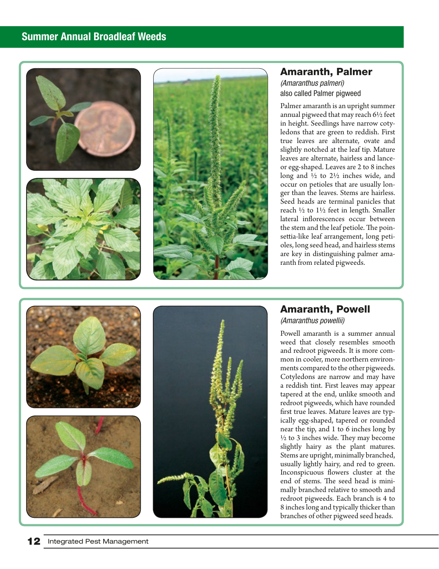## Summer Annual Broadleaf Weeds







#### Amaranth, Palmer *(Amaranthus palmeri)*

also called Palmer pigweed

Palmer amaranth is an upright summer annual pigweed that may reach 6½ feet in height. Seedlings have narrow coty ledons that are green to reddish. First true leaves are alternate, ovate and slightly notched at the leaf tip. Mature leaves are alternate, hairless and lanceor egg-shaped. Leaves are 2 to 8 inches long and ½ to 2½ inches wide, and occur on petioles that are usually lon ger than the leaves. Stems are hairless. Seed heads are terminal panicles that reach ½ to 1½ feet in length. Smaller lateral inflorescences occur between the stem and the leaf petiole. The poin settia-like leaf arrangement, long peti oles, long seed head, and hairless stems are key in distinguishing palmer ama ranth from related pigweeds.



# Amaranth, Powell

*(Amaranthus powellii)* 

Powell amaranth is a summer annual weed that closely resembles smooth and redroot pigweeds. It is more com mon in cooler, more northern environ ments compared to the other pigweeds. Cotyledons are narrow and may have a reddish tint. First leaves may appear tapered at the end, unlike smooth and redroot pigweeds, which have rounded first true leaves. Mature leaves are typ ically egg-shaped, tapered or rounded near the tip, and 1 to 6 inches long by  $\frac{1}{2}$  to 3 inches wide. They may become slightly hairy as the plant matures. Stems are upright, minimally branched, usually lightly hairy, and red to green. Inconspicuous flowers cluster at the end of stems. The seed head is mini mally branched relative to smooth and redroot pigweeds. Each branch is 4 to 8 inches long and typically thicker than branches of other pigweed seed heads.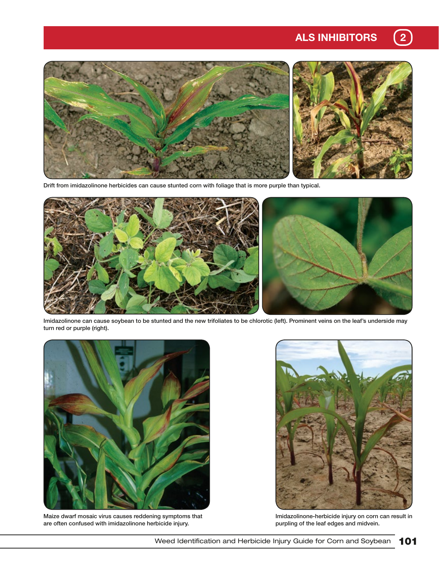# ALS INHIBITORS (2)



Drift from imidazolinone herbicides can cause stunted corn with foliage that is more purple than typical.



Imidazolinone can cause soybean to be stunted and the new trifoliates to be chlorotic (left). Prominent veins on the leaf's underside may turn red or purple (right).



Maize dwarf mosaic virus causes reddening symptoms that are often confused with imidazolinone herbicide injury.



Imidazolinone-herbicide injury on corn can result in purpling of the leaf edges and midvein.